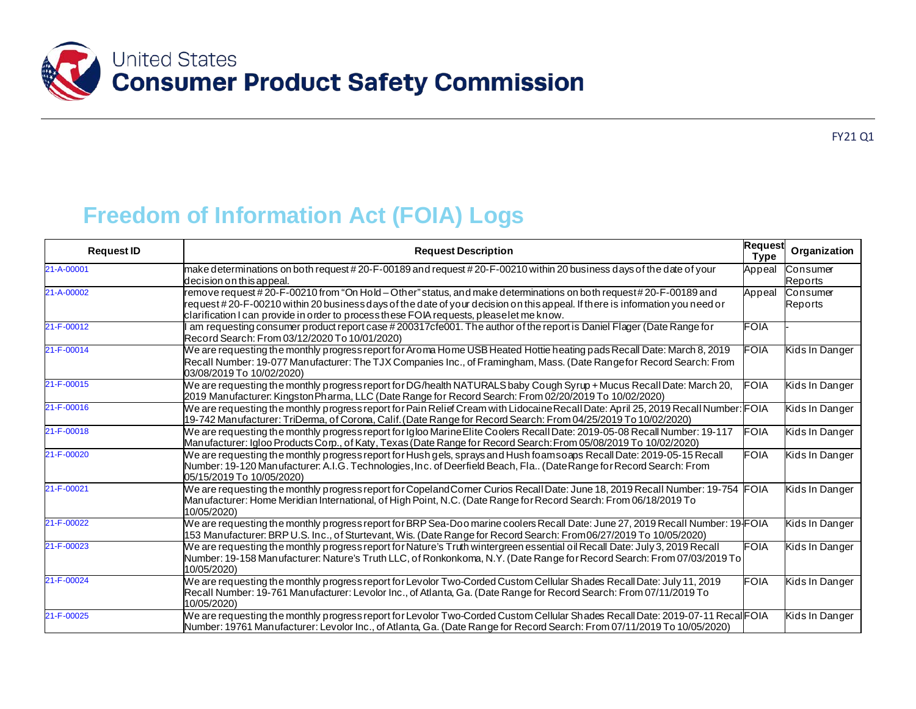

## **Freedom of Information Act (FOIA) Logs**

| <b>Request ID</b> | <b>Request Description</b>                                                                                                                                                                                                                                                                                                                  | <b>Request</b><br><b>Type</b> | Organization        |
|-------------------|---------------------------------------------------------------------------------------------------------------------------------------------------------------------------------------------------------------------------------------------------------------------------------------------------------------------------------------------|-------------------------------|---------------------|
| 21-A-00001        | make determinations on both request #20-F-00189 and request #20-F-00210 within 20 business days of the date of your<br>decision on this appeal.                                                                                                                                                                                             | Appeal                        | Consumer<br>Reports |
| 21-A-00002        | remove request #20-F-00210 from "On Hold – Other" status, and make determinations on both request#20-F-00189 and<br>request#20-F-00210 within 20 business days of the date of your decision on this appeal. If there is information you need or<br>clarification I can provide in order to process these FOIA requests, please let me know. | Appeal                        | Consumer<br>Reports |
| 21-F-00012        | am requesting consumer product report case #200317cfe001. The author of the report is Daniel Flager (Date Range for<br>Record Search: From 03/12/2020 To 10/01/2020)                                                                                                                                                                        | FOIA                          |                     |
| 21-F-00014        | We are requesting the monthly progress report for Aroma Home USB Heated Hottie heating pads Recall Date: March 8, 2019<br>Recall Number: 19-077 Manufacturer: The TJX Companies Inc., of Framingham, Mass. (Date Rangefor Record Search: From<br>03/08/2019 To 10/02/2020)                                                                  | FOIA                          | Kids In Danger      |
| 21-F-00015        | We are requesting the monthly progress report for DG/health NATURALS baby Cough Syrup + Mucus Recall Date: March 20,<br>(2019 Man ufacturer: Kingston Pharma, LLC (Date Range for Record Search: From 02/20/2019 To 10/02/2020)                                                                                                             | <b>FOIA</b>                   | Kids In Danger      |
| 21-F-00016        | We are requesting the monthly progress report for Pain Relief Cream with Lidocaine Recall Date: April 25, 2019 Recall Number: FOIA<br>19-742 Manufacturer: TriDerma, of Corona, Calif. (Date Range for Record Search: From 04/25/2019 To 10/02/2020)                                                                                        |                               | Kids In Danger      |
| 21-F-00018        | We are requesting the monthly progress report for Igloo Marine Elite Coolers Recall Date: 2019-05-08 Recall Number: 19-117<br>Manufacturer: Igloo Products Corp., of Katy, Texas (Date Range for Record Search: From 05/08/2019 To 10/02/2020)                                                                                              | <b>FOIA</b>                   | Kids In Danger      |
| 21-F-00020        | We are requesting the monthly progress report for Hush gels, sprays and Hush foamsoaps Recall Date: 2019-05-15 Recall<br>Number: 19-120 Manufacturer: A.I.G. Technologies, Inc. of Deerfield Beach, Fla (Date Range for Record Search: From<br>05/15/2019 To 10/05/2020)                                                                    | <b>FOIA</b>                   | Kids In Danger      |
| 21-F-00021        | We are requesting the monthly progress report for Copeland Comer Curios Recall Date: June 18, 2019 Recall Number: 19-754 FOIA<br>Manufacturer: Home Meridian International, of High Point, N.C. (Date Range for Record Search: From 06/18/2019 To<br>10/05/2020)                                                                            |                               | Kids In Danger      |
| 21-F-00022        | We are requesting the monthly progress report for BRP Sea-Doo marine coolers Recall Date: June 27, 2019 Recall Number: 19 FOIA<br>153 Manufacturer: BRP U.S. Inc., of Sturtevant, Wis. (Date Range for Record Search: From06/27/2019 To 10/05/2020)                                                                                         |                               | Kids In Danger      |
| 21-F-00023        | We are requesting the monthly progress report for Nature's Truth wintergreen essential oil Recall Date: July 3, 2019 Recall<br>Number: 19-158 Manufacturer: Nature's Truth LLC, of Ronkonkoma, N.Y. (Date Range for Record Search: From 07/03/2019 To<br>10/05/2020)                                                                        | <b>FOIA</b>                   | Kids In Danger      |
| 21-F-00024        | We are requesting the monthly progress report for Levolor Two-Corded Custom Cellular Shades Recall Date: July 11, 2019<br>Recall Number: 19-761 Manufacturer: Levolor Inc., of Atlanta, Ga. (Date Range for Record Search: From 07/11/2019 To<br>10/05/2020)                                                                                | <b>FOIA</b>                   | Kids In Danger      |
| 21-F-00025        | We are requesting the monthly progress report for Levolor Two-Corded Custom Cellular Shades Recall Date: 2019-07-11 Recal FOIA<br>Number: 19761 Manufacturer: Levolor Inc., of Atlanta, Ga. (Date Range for Record Search: From 07/11/2019 To 10/05/2020)                                                                                   |                               | Kids In Danger      |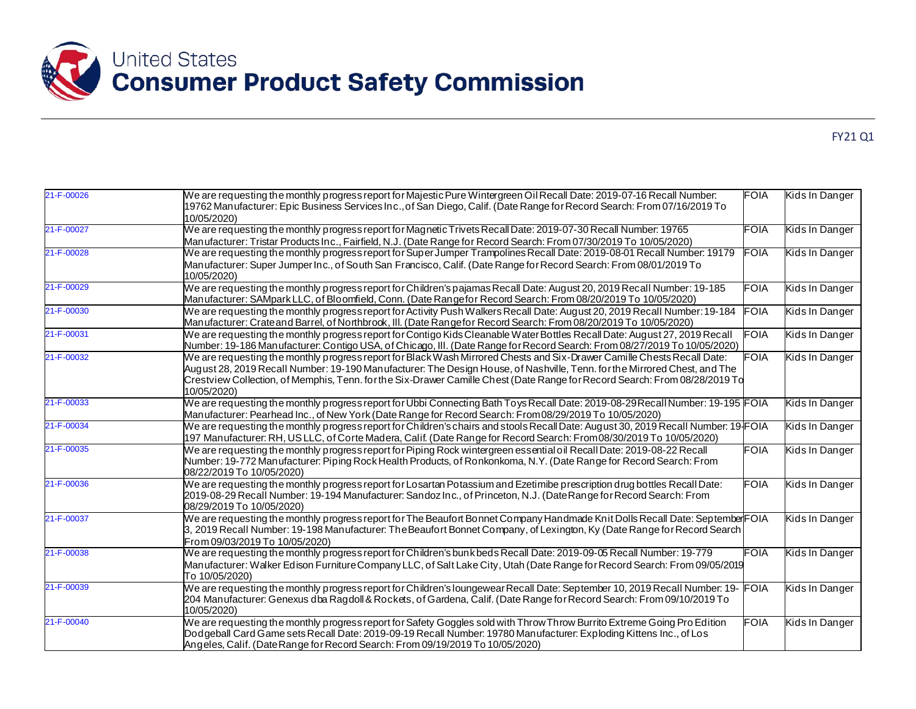

|--|

| 21-F-00026 | We are requesting the monthly progress report for Majestic Pure Wintergreen Oil Recall Date: 2019-07-16 Recall Number:<br>19762 Manufacturer: Epic Business Services Inc., of San Diego, Calif. (Date Range for Record Search: From 07/16/2019 To<br>10/05/2020)                                                                                                                                  | <b>FOIA</b> | Kids In Danger |
|------------|---------------------------------------------------------------------------------------------------------------------------------------------------------------------------------------------------------------------------------------------------------------------------------------------------------------------------------------------------------------------------------------------------|-------------|----------------|
| 21-F-00027 | We are requesting the monthly progress report for Magnetic Trivets Recall Date: 2019-07-30 Recall Number: 19765<br>Manufacturer: Tristar Products Inc., Fairfield, N.J. (Date Range for Record Search: From 07/30/2019 To 10/05/2020)                                                                                                                                                             | FOIA        | Kids In Danger |
| 21-F-00028 | We are requesting the monthly progress report for Super Jumper Trampolines Recall Date: 2019-08-01 Recall Number: 19179<br>Manufacturer: Super Jumper Inc., of South San Francisco, Calif. (Date Range for Record Search: From 08/01/2019 To<br>10/05/2020)                                                                                                                                       | FOIA        | Kids In Danger |
| 21-F-00029 | We are requesting the monthly progress report for Children's pajamas Recall Date: August 20, 2019 Recall Number: 19-185<br>Manufacturer: SAMpark LLC, of Bloomfield, Conn. (Date Rangefor Record Search: From 08/20/2019 To 10/05/2020)                                                                                                                                                           | <b>FOIA</b> | Kids In Danger |
| 21-F-00030 | We are requesting the monthly progress report for Activity Push Walkers Recall Date: August 20, 2019 Recall Number: 19-184<br>Manufacturer: Crateand Barrel, of Northbrook, III. (Date Rangefor Record Search: From 08/20/2019 To 10/05/2020)                                                                                                                                                     | <b>FOIA</b> | Kids In Danger |
| 21-F-00031 | We are requesting the monthly progress report for Contigo Kids Cleanable Water Bottles Recall Date: August 27, 2019 Recall<br>Number: 19-186 Manufacturer: Contigo USA, of Chicago, III. (Date Range for Record Search: From 08/27/2019 To 10/05/2020)                                                                                                                                            | <b>FOIA</b> | Kids In Danger |
| 21-F-00032 | We are requesting the monthly progress report for Black Wash Mirrored Chests and Six-Drawer Camille Chests Recall Date:<br>August 28, 2019 Recall Number: 19-190 Manufacturer: The Design House, of Nashville, Tenn. for the Mirrored Chest, and The<br>Crestview Collection, of Memphis, Tenn. for the Six-Drawer Camille Chest (Date Range for Record Search: From 08/28/2019 To<br>10/05/2020) | <b>FOIA</b> | Kids In Danger |
| 21-F-00033 | We are requesting the monthly progress report for Ubbi Connecting Bath Toys Recall Date: 2019-08-29 Recall Number: 19-195 FOIA<br>Manufacturer: Pearhead Inc., of New York (Date Range for Record Search: From08/29/2019 To 10/05/2020)                                                                                                                                                           |             | Kids In Danger |
| 21-F-00034 | We are requesting the monthly progress report for Children's chairs and stools Recall Date: August 30, 2019 Recall Number: 19 FOIA<br>197 Manufacturer: RH, US LLC, of Corte Madera, Calif. (Date Range for Record Search: From08/30/2019 To 10/05/2020)                                                                                                                                          |             | Kids In Danger |
| 21-F-00035 | We are requesting the monthly progress report for Piping Rock wintergreen essential oil Recall Date: 2019-08-22 Recall<br>Number: 19-772 Manufacturer: Piping Rock Health Products, of Ronkonkoma, N.Y. (Date Range for Record Search: From<br>08/22/2019 To 10/05/2020)                                                                                                                          | <b>FOIA</b> | Kids In Danger |
| 21-F-00036 | We are requesting the monthly progress report for Losartan Potassium and Ezetimibe prescription drug bottles Recall Date:<br>2019-08-29 Recall Number: 19-194 Manufacturer: Sandoz Inc., of Princeton, N.J. (Date Range for Record Search: From<br>08/29/2019 To 10/05/2020)                                                                                                                      | FOIA        | Kids In Danger |
| 21-F-00037 | We are requesting the monthly progress report for The Beaufort Bonnet Company Handmade Knit Dolls Recall Date: SeptemberFOIA<br>3, 2019 Recall Number: 19-198 Manufacturer: The Beaufort Bonnet Company, of Lexington, Ky (Date Range for Record Search)<br>From 09/03/2019 To 10/05/2020)                                                                                                        |             | Kids In Danger |
| 21-F-00038 | We are requesting the monthly progress report for Children's bunk beds Recall Date: 2019-09-05 Recall Number: 19-779<br>Manufacturer: Walker Edison Furniture Company LLC, of Salt Lake City, Utah (Date Range for Record Search: From 09/05/2019<br>To 10/05/2020)                                                                                                                               | <b>FOIA</b> | Kids In Danger |
| 21-F-00039 | We are requesting the monthly progress report for Children's loungewear Recall Date: September 10, 2019 Recall Number: 19- FOIA<br>204 Manufacturer: Genexus dba Ragdoll & Rockets, of Gardena, Calif. (Date Range for Record Search: From 09/10/2019 To<br>10/05/2020)                                                                                                                           |             | Kids In Danger |
| 21-F-00040 | We are requesting the monthly progress report for Safety Goggles sold with Throw Throw Burrito Extreme Going Pro Edition<br>Dodgeball Card Game sets Recall Date: 2019-09-19 Recall Number: 19780 Manufacturer: Exploding Kittens Inc., of Los<br>Angeles, Calif. (Date Range for Record Search: From 09/19/2019 To 10/05/2020)                                                                   | FOIA        | Kids In Danger |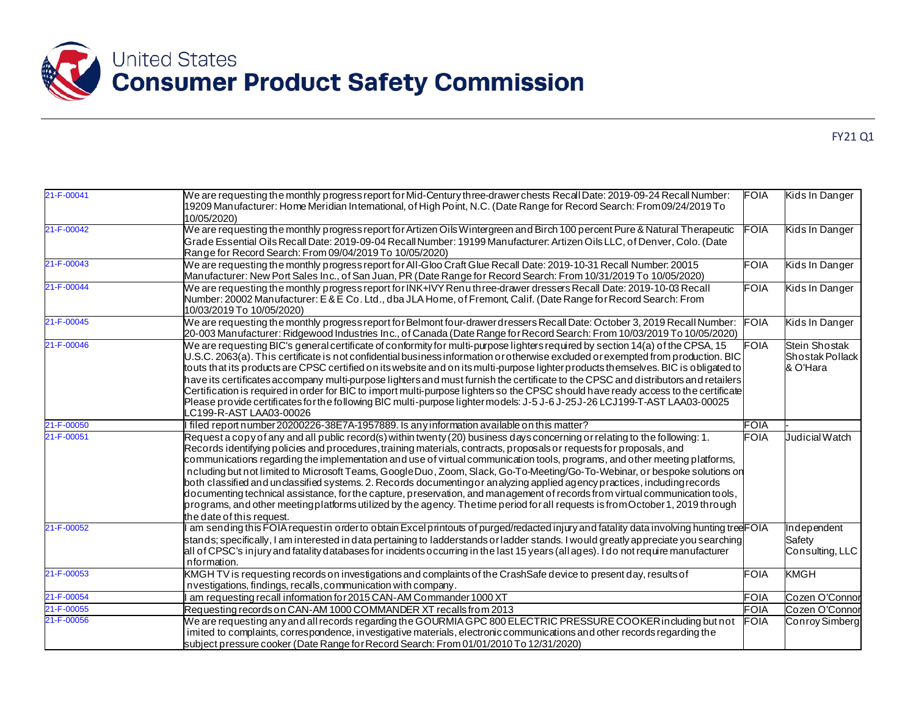

|--|--|

| 21-F-00041       | We are requesting the monthly progress report for Mid-Century three-drawer chests Recall Date: 2019-09-24 Recall Number:<br>9209 Manufacturer: Home Meridian International, of High Point, N.C. (Date Range for Record Search: From 09/24/2019 To<br>10/05/2020)                                                                                                                                                                                                                                                                                                                                                                                                                                                                                                                                                                                                                                                                          | <b>FOIA</b> | Kids In Danger                               |
|------------------|-------------------------------------------------------------------------------------------------------------------------------------------------------------------------------------------------------------------------------------------------------------------------------------------------------------------------------------------------------------------------------------------------------------------------------------------------------------------------------------------------------------------------------------------------------------------------------------------------------------------------------------------------------------------------------------------------------------------------------------------------------------------------------------------------------------------------------------------------------------------------------------------------------------------------------------------|-------------|----------------------------------------------|
| 21-F-00042       | We are requesting the monthly progress report for Artizen Oils Wintergreen and Birch 100 percent Pure & Natural Therapeutic<br>Grade Essential Oils Recall Date: 2019-09-04 Recall Number: 19199 Manufacturer. Artizen Oils LLC, of Denver, Colo. (Date<br>Range for Record Search: From 09/04/2019 To 10/05/2020)                                                                                                                                                                                                                                                                                                                                                                                                                                                                                                                                                                                                                        | FOIA        | Kids In Danger                               |
| 21-F-00043       | We are requesting the monthly progress report for All-Gloo Craft Glue Recall Date: 2019-10-31 Recall Number: 20015<br>Manufacturer: New Port Sales Inc., of San Juan, PR (Date Range for Record Search: From 10/31/2019 To 10/05/2020)                                                                                                                                                                                                                                                                                                                                                                                                                                                                                                                                                                                                                                                                                                    | <b>FOIA</b> | Kids In Danger                               |
| 21-F-00044       | We are requesting the monthly progress report for INK+IVY Renu three-drawer dressers Recall Date: 2019-10-03 Recall<br>Number: 20002 Man ufacturer: E & E Co. Ltd., dba JLA Home, of Fremont, Calif. (Date Range for Record Search: From<br>10/03/2019 To 10/05/2020)                                                                                                                                                                                                                                                                                                                                                                                                                                                                                                                                                                                                                                                                     | <b>FOIA</b> | Kids In Danger                               |
| 21-F-00045       | We are requesting the monthly progress report for Belmont four-drawer dressers Recall Date: October 3, 2019 Recall Number:<br>20-003 Manufacturer: Ridgewood Industries Inc., of Canada (Date Range for Record Search: From 10/03/2019 To 10/05/2020)                                                                                                                                                                                                                                                                                                                                                                                                                                                                                                                                                                                                                                                                                     | <b>FOIA</b> | Kids In Danger                               |
| 21-F-00046       | We are requesting BIC's general certificate of conformity for multi-purpose lighters required by section 14(a) of the CPSA, 15<br>U.S.C. 2063(a). This certificate is not confidential business information or otherwise excluded or exempted from production. BIC<br>touts that its products are CPSC certified on its website and on its multi-purpose lighter products themselves. BIC is obligated to<br>have its certificates accompany multi-purpose lighters and must furnish the certificate to the CPSC and distributors and retailers<br>Certification is required in order for BIC to import multi-purpose lighters so the CPSC should have ready access to the certificate                                                                                                                                                                                                                                                    | <b>FOIA</b> | Stein Shostak<br>Shostak Pollack<br>& O'Hara |
|                  | Please provide certificates for the following BIC multi-purpose lighter models: J-5 J-6 J-25 J-26 LCJ199-T-AST LAA03-00025<br>C199-R-AST LAA03-00026                                                                                                                                                                                                                                                                                                                                                                                                                                                                                                                                                                                                                                                                                                                                                                                      |             |                                              |
| 21-F-00050       | filed report number 20200226-38E7A-1957889. Is any information available on this matter?                                                                                                                                                                                                                                                                                                                                                                                                                                                                                                                                                                                                                                                                                                                                                                                                                                                  | FOIA        |                                              |
| $21 - F - 00051$ | Request a copy of any and all public record(s) within twenty (20) business days concerning or relating to the following: 1.<br>Records identifying policies and procedures, training materials, contracts, proposals or requests for proposals, and<br>communications regarding the implementation and use of virtual communication tools, programs, and other meeting platforms,<br>ncluding but not limited to Microsoft Teams, Google Duo, Zoom, Slack, Go-To-Meeting/Go-To-Webinar, or bespoke solutions on<br>both classified and unclassified systems. 2. Records documentingor analyzing applied agency practices, including records<br>documenting technical assistance, for the capture, preservation, and management of records from virtual communication tools,<br>programs, and other meetingplatforms utilized by the agency. The time period for all requests is from October 1, 2019 through<br>the date of this request. | <b>FOIA</b> | Judicial Watch                               |
| 21-F-00052       | am sending this FOIA requestin order to obtain Excel printouts of purged/redacted injury and fatality data involving hunting tree FOIA<br>stands; specifically, I am interested in data pertaining to ladderstands or ladder stands. I would greatly appreciate you searching<br>all of CPSC's injury and fatality databases for incidents occurring in the last 15 years (allages). I do not require manufacturer<br>nformation.                                                                                                                                                                                                                                                                                                                                                                                                                                                                                                         |             | Independent<br>Safety<br>Consulting, LLC     |
| 21-F-00053       | KMGH TV is requesting records on investigations and complaints of the CrashSafe device to present day, results of<br>nvestigations, findings, recalls, communication with company.                                                                                                                                                                                                                                                                                                                                                                                                                                                                                                                                                                                                                                                                                                                                                        | <b>FOIA</b> | <b>KMGH</b>                                  |
| 21-F-00054       | am requesting recall information for 2015 CAN-AM Commander 1000 XT                                                                                                                                                                                                                                                                                                                                                                                                                                                                                                                                                                                                                                                                                                                                                                                                                                                                        | <b>FOIA</b> | Cozen O'Connor                               |
| 21-F-00055       | Requesting records on CAN-AM 1000 COMMANDER XT recalls from 2013                                                                                                                                                                                                                                                                                                                                                                                                                                                                                                                                                                                                                                                                                                                                                                                                                                                                          | <b>FOIA</b> | Cozen O'Connor                               |
| 21-F-00056       | We are requesting any and all records regarding the GOURMIA GPC 800 ELECTRIC PRESSURE COOKER in cluding but not<br>imited to complaints, correspondence, investigative materials, electronic communications and other records regarding the<br>subject pressure cooker (Date Range for Record Search: From 01/01/2010 To 12/31/2020)                                                                                                                                                                                                                                                                                                                                                                                                                                                                                                                                                                                                      | <b>FOIA</b> | Conroy Simberg                               |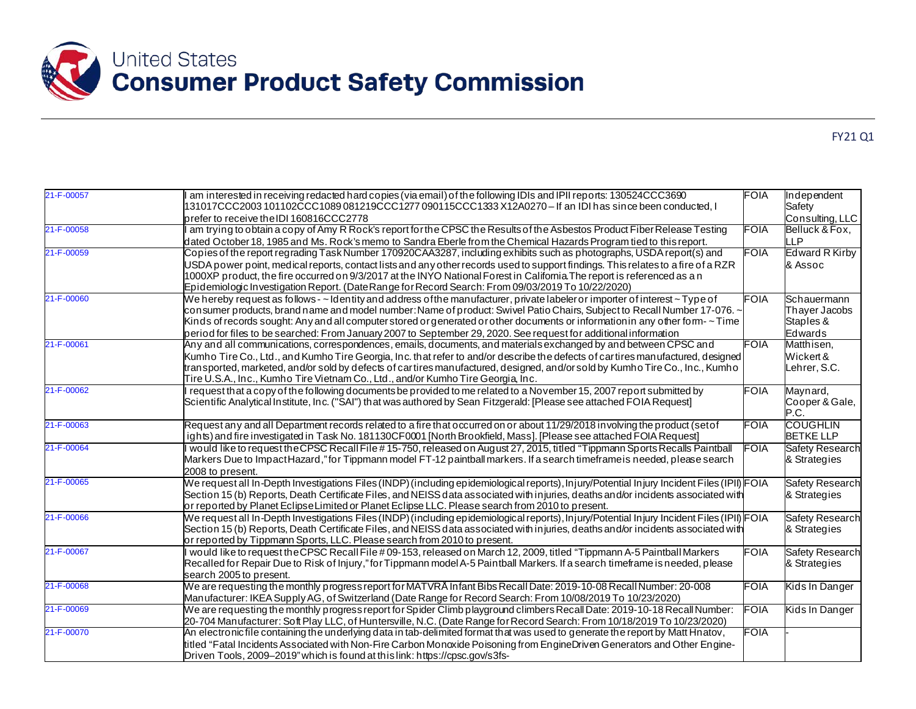

| 21-F-00057 | am interested in receiving redacted hard copies (via email) of the following IDIs and IPII reports: 130524CCC3690<br>131017CCC2003 101102CCC1089 081219CCC1277 090115CCC1333 X12A0270 – If an IDI has since been conducted, I                                                                                                                                                                                                                                                                                      | <b>FOIA</b> | Independent<br>Safety                                       |
|------------|--------------------------------------------------------------------------------------------------------------------------------------------------------------------------------------------------------------------------------------------------------------------------------------------------------------------------------------------------------------------------------------------------------------------------------------------------------------------------------------------------------------------|-------------|-------------------------------------------------------------|
|            | prefer to receive the IDI 160816CCC2778                                                                                                                                                                                                                                                                                                                                                                                                                                                                            |             | Consulting, LLC                                             |
| 21-F-00058 | am trying to obtain a copy of Amy R Rock's report for the CPSC the Results of the Asbestos Product Fiber Release Testing<br>dated October 18, 1985 and Ms. Rock's memo to Sandra Eberle from the Chemical Hazards Program tied to this report.                                                                                                                                                                                                                                                                     | FOIA        | Belluck & Fox.<br><b>LLP</b>                                |
| 21-F-00059 | Copies of the report regrading Task Number 170920CAA3287, including exhibits such as photographs, USDA report(s) and                                                                                                                                                                                                                                                                                                                                                                                               | FOIA        | Edward R Kirby                                              |
|            | USDA power point, medical reports, contact lists and any other records used to support findings. This relates to a fire of a RZR<br>1000XP product, the fire occurred on 9/3/2017 at the INYO National Forest in Califomia The report is referenced as a n<br>Epidemiologic Investigation Report. (Date Range for Record Search: From 09/03/2019 To 10/22/2020)                                                                                                                                                    |             | & Assoc                                                     |
| 21-F-00060 | We hereby request as follows - ~ Identity and address of the manufacturer, private labeler or importer of interest ~ Type of<br>consumer products, brand name and model number: Name of product: Swivel Patio Chairs, Subject to Recall Number 17-076. ~<br>Kinds of records sought: Any and all computer stored or generated or other documents or information in any other form- $\sim$ Time<br>period for files to be searched: From January 2007 to September 29, 2020. See request for additional information | <b>FOIA</b> | Schauermann<br>Thayer Jacobs<br>Staples &<br><b>Edwards</b> |
| 21-F-00061 | Any and all communications, correspondences, emails, documents, and materials exchanged by and between CPSC and<br>Kumho Tire Co., Ltd., and Kumho Tire Georgia, Inc. that refer to and/or describe the defects of cartires manufactured, designed<br>transported, marketed, and/or sold by defects of cartires manufactured, designed, and/or sold by Kumho Tire Co., Inc., Kumho<br>Tire U.S.A., Inc., Kumho Tire Vietnam Co., Ltd., and/or Kumho Tire Georgia, Inc.                                             | <b>FOIA</b> | Matthisen,<br>Wickert &<br>Lehrer, S.C.                     |
| 21-F-00062 | request that a copy of the following documents be provided to me related to a November 15, 2007 report submitted by<br>Scientific Analytical Institute, Inc. ("SAI") that was authored by Sean Fitzgerald: [Please see attached FOIA Request]                                                                                                                                                                                                                                                                      | <b>FOIA</b> | Maynard,<br>Cooper & Gale,<br>P.C.                          |
| 21-F-00063 | Request any and all Department records related to a fire that occurred on or about 11/29/2018 involving the product (setof<br>ights) and fire investigated in Task No. 181130CF0001 [North Brookfield, Mass]. [Please see attached FOIA Request]                                                                                                                                                                                                                                                                   | FOIA        | <b>COUGHLIN</b><br><b>BETKE LLP</b>                         |
| 21-F-00064 | would like to request the CPSC Recall File #15-750, released on August 27, 2015, titled "Tippmann Sports Recalls Paintball"<br>Markers Due to ImpactHazard,"for Tippmann model FT-12 paintball markers. If a search timeframe is needed, please search<br>2008 to present.                                                                                                                                                                                                                                         | <b>FOIA</b> | <b>Safety Research</b><br>& Strategies                      |
| 21-F-00065 | We request all In-Depth Investigations Files (INDP) (including epidemiological reports), In jury/Potential In jury Incident Files (IPII) FOIA<br>Section 15 (b) Reports, Death Certificate Files, and NEISS data associated with injuries, deaths and/or incidents associated with<br>or reported by Planet Eclipse Limited or Planet Eclipse LLC. Please search from 2010 to present.                                                                                                                             |             | <b>Safety Research</b><br>& Strategies                      |
| 21-F-00066 | We request all In-Depth Investigations Files (INDP) (including epidemiological reports), Injury/Potential Injury Incident Files (IPII) FOIA<br>Section 15 (b) Reports, Death Certificate Files, and NEISS data associated with injuries, deaths and/or incidents associated with<br>or reported by Tippmann Sports, LLC. Please search from 2010 to present.                                                                                                                                                       |             | Safety Research<br>& Strategies                             |
| 21-F-00067 | would like to request the CPSC Recall File #09-153, released on March 12, 2009, titled "Tippmann A-5 Paintball Markers<br>Recalled for Repair Due to Risk of Injury," for Tippmann model A-5 Paintball Markers. If a search timeframe is needed, please<br>search 2005 to present.                                                                                                                                                                                                                                 | <b>FOIA</b> | <b>Safety Research</b><br>& Strategies                      |
| 21-F-00068 | We are requesting the monthly progress report for MATVRA Infant Bibs Recall Date: 2019-10-08 Recall Number: 20-008<br>Manufacturer: IKEA Supply AG, of Switzerland (Date Range for Record Search: From 10/08/2019 To 10/23/2020)                                                                                                                                                                                                                                                                                   | FOIA        | Kids In Danger                                              |
| 21-F-00069 | We are requesting the monthly progress report for Spider Climb playground climbers Recall Date: 2019-10-18 Recall Number:<br>20-704 Manufacturer: Soft Play LLC, of Huntersville, N.C. (Date Range for Record Search: From 10/18/2019 To 10/23/2020)                                                                                                                                                                                                                                                               | FOIA        | Kids In Danger                                              |
| 21-F-00070 | An electronicfile containing the underlying data in tab-delimited format that was used to generate the report by Matt Hnatov,<br>titled "Fatal Incidents Associated with Non-Fire Carbon Monoxide Poisoning from EngineDriven Generators and Other Engine-<br>Driven Tools, 2009–2019" which is found at this link: https://cpsc.gov/s3fs-                                                                                                                                                                         | <b>FOIA</b> |                                                             |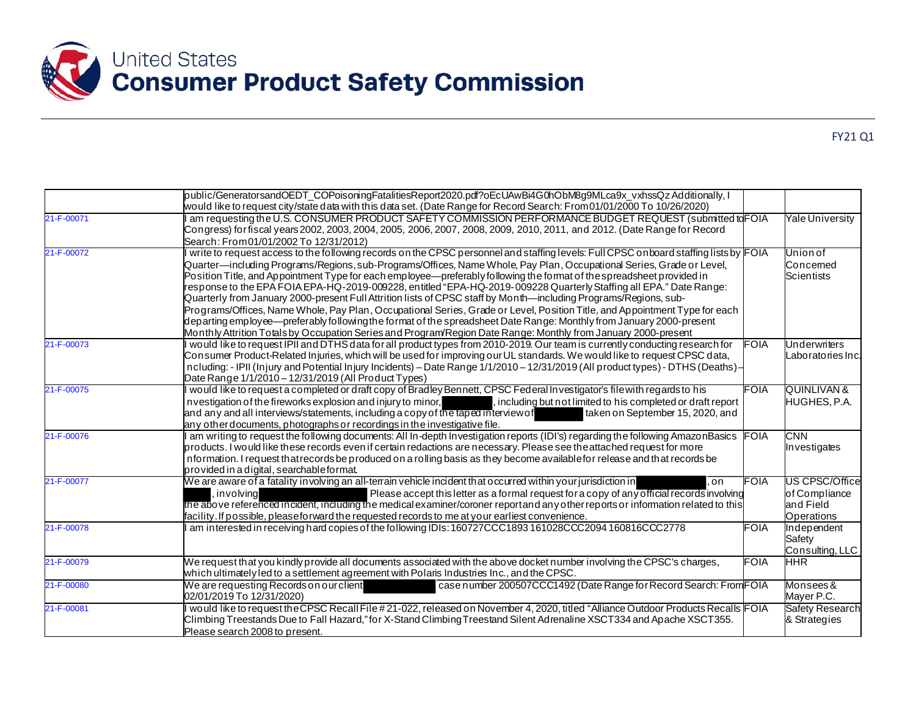

|            | public/GeneratorsandOEDT_COPoisoningFatalitiesReport2020.pdf?oEcUAwBi4G0hObM8g9MLca9x_vxhssQzAdditionally, l<br>would like to request city/state data with this data set. (Date Range for Record Search: From01/01/2000 To 10/26/2020)                                                                                                                                                                                                                                                                                                                                                                                                                                                                                                                                                                                                                                                                                                                                                                  |             |                                                            |
|------------|---------------------------------------------------------------------------------------------------------------------------------------------------------------------------------------------------------------------------------------------------------------------------------------------------------------------------------------------------------------------------------------------------------------------------------------------------------------------------------------------------------------------------------------------------------------------------------------------------------------------------------------------------------------------------------------------------------------------------------------------------------------------------------------------------------------------------------------------------------------------------------------------------------------------------------------------------------------------------------------------------------|-------------|------------------------------------------------------------|
| 21-F-00071 | am requesting the U.S. CONSUMER PRODUCT SAFETY COMMISSION PERFORMANCE BUDGET REQUEST (submitted to FOIA<br>Congress) for fiscal years 2002, 2003, 2004, 2005, 2006, 2007, 2008, 2009, 2010, 2011, and 2012. (Date Range for Record<br>Search: From 01/01/2002 To 12/31/2012)                                                                                                                                                                                                                                                                                                                                                                                                                                                                                                                                                                                                                                                                                                                            |             | Yale University                                            |
| 21-F-00072 | write to request access to the following records on the CPSC personnel and staffing levels: Full CPSC on board staffing lists by FOIA<br>Quarter—including Programs/Regions, sub-Programs/Offices, Name Whole, Pay Plan, Occupational Series, Grade or Level,<br>Position Title, and Appointment Type for each employee—preferably following the format of the spreadsheet provided in<br>response to the EPA FOIA EPA-HQ-2019-009228, entitled "EPA-HQ-2019-009228 Quarterly Staffing all EPA." Date Range:<br>Quarterly from January 2000-present Full Attrition lists of CPSC staff by Month—including Programs/Regions, sub-<br>Programs/Offices, Name Whole, Pay Plan, Occupational Series, Grade or Level, Position Title, and Appointment Type for each<br>departing employee—preferably following the format of the spreadsheet Date Range: Monthly from January 2000-present<br>Monthly Attrition Totals by Occupation Series and Program/Region Date Range: Monthly from January 2000-present |             | Union of<br>Concemed<br><b>Scientists</b>                  |
| 21-F-00073 | would like to request IPII and DTHS data for all product types from 2010-2019. Our team is currently conducting research for<br>Consumer Product-Related Injuries, which will be used for improving our UL standards. We would like to request CPSC data,<br>ncluding: - IPII (Injury and Potential Injury Incidents) - Date Range 1/1/2010 - 12/31/2019 (All product types) - DTHS (Deaths) -<br>Date Range 1/1/2010 - 12/31/2019 (All Product Types)                                                                                                                                                                                                                                                                                                                                                                                                                                                                                                                                                  | <b>FOIA</b> | Underwriters<br>Laboratories Inc.                          |
| 21-F-00075 | would like to request a completed or draft copy of Bradley Bennett, CPSC Federal Investigator's file with regards to his<br>nvestigation of the fireworks explosion and injury to minor,<br>, including but not limited to his completed or draft report<br>and any and all interviews/statements, including a copy of the taped interview of<br>taken on September 15, 2020, and<br>any other documents, photographs or recordings in the investigative file.                                                                                                                                                                                                                                                                                                                                                                                                                                                                                                                                          | <b>FOIA</b> | <b>QUINLIVAN &amp;</b><br>HUGHES, P.A.                     |
| 21-F-00076 | am writing to request the following documents: All In-depth Investigation reports (IDI's) regarding the following AmazonBasics<br>products. I would like these records even if certain redactions are necessary. Please see the attached request for more<br>nformation. I request that records be produced on a rolling basis as they become available for release and that records be<br>provided in a digital, searchable format.                                                                                                                                                                                                                                                                                                                                                                                                                                                                                                                                                                    | <b>FOIA</b> | <b>CNN</b><br>Investigates                                 |
| 21-F-00077 | We are aware of a fatality involving an all-terrain vehicle incident that occurred within your jurisdiction in<br>. on<br>Please accept this letter as a formal request for a copy of any official records involving<br>. involvina<br>the above referenced incident, including the medical examiner/coroner reportand any other reports or information related to this<br>facility. If possible, please forward the requested records to me at your earliest convenience.                                                                                                                                                                                                                                                                                                                                                                                                                                                                                                                              | FOIA        | US CPSC/Office<br>of Compliance<br>and Field<br>Operations |
| 21-F-00078 | am interested in receiving hard copies of the following IDIs: 160727CCC1893 161028CCC2094 160816CCC2778                                                                                                                                                                                                                                                                                                                                                                                                                                                                                                                                                                                                                                                                                                                                                                                                                                                                                                 | FOIA        | Independent<br>Safety<br>Consulting, LLC                   |
| 21-F-00079 | We request that you kindly provide all documents associated with the above docket number involving the CPSC's charges,<br>which ultimately led to a settlement agreement with Polaris Industries Inc., and the CPSC.                                                                                                                                                                                                                                                                                                                                                                                                                                                                                                                                                                                                                                                                                                                                                                                    | FOIA        | <b>HHR</b>                                                 |
| 21-F-00080 | We are requesting Records on our client<br>case number 200507CCC1492 (Date Range for Record Search: From FOIA<br>02/01/2019 To 12/31/2020)                                                                                                                                                                                                                                                                                                                                                                                                                                                                                                                                                                                                                                                                                                                                                                                                                                                              |             | Monsees &<br>Mayer P.C.                                    |
| 21-F-00081 | would like to request the CPSC Recall File #21-022, released on November 4, 2020, titled "Alliance Outdoor Products Recalls FOIA<br>Climbing Treestands Due to Fall Hazard," for X-Stand Climbing Treestand Silent Adrenaline XSCT334 and Apache XSCT355.<br>Please search 2008 to present.                                                                                                                                                                                                                                                                                                                                                                                                                                                                                                                                                                                                                                                                                                             |             | Safety Research<br>& Strategies                            |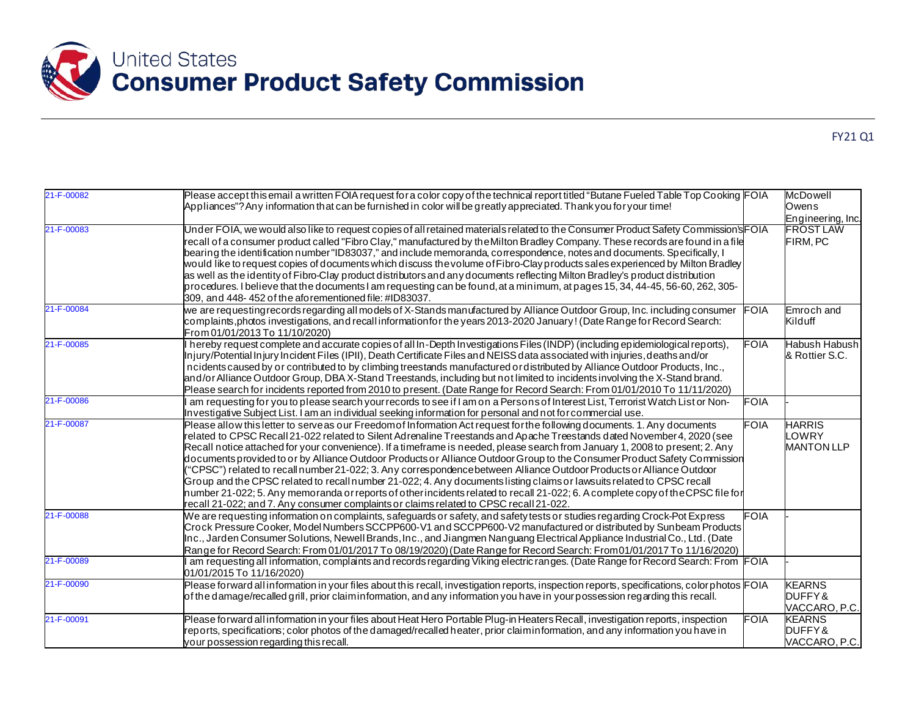

| 21-F-00082 | Please accept this email a written FOIA request for a color copy of the technical report titled "Butane Fueled Table Top Cooking FOIA<br>Appliances"? Any information that can be furnished in color will be greatly appreciated. Thank you for your time!                                                                                                                                                                                                                                                                                                                                                                                                                                                                                                                                                                                                                                                                                                                                        |             | <b>McDowell</b><br>Owens<br>Engineering, Inc. |
|------------|---------------------------------------------------------------------------------------------------------------------------------------------------------------------------------------------------------------------------------------------------------------------------------------------------------------------------------------------------------------------------------------------------------------------------------------------------------------------------------------------------------------------------------------------------------------------------------------------------------------------------------------------------------------------------------------------------------------------------------------------------------------------------------------------------------------------------------------------------------------------------------------------------------------------------------------------------------------------------------------------------|-------------|-----------------------------------------------|
| 21-F-00083 | Under FOIA, we would also like to request copies of all retained materials related to the Consumer Product Safety Commission's FOIA<br>recall of a consumer product called "Fibro Clay," manufactured by the Milton Bradley Company. These records are found in a file<br>bearing the identification number "ID83037," and include memoranda, correspondence, notes and documents. Specifically, I<br>would like to request copies of documents which discuss the volume of Fibro-Clay products sales experienced by Milton Bradley<br>as well as the identity of Fibro-Clay product distributors and any documents reflecting Milton Bradley's product distribution<br>procedures. I believe that the documents I am requesting can be found, at a minimum, at pages 15, 34, 44-45, 56-60, 262, 305-<br>309, and 448-452 of the aforementioned file: #ID83037.                                                                                                                                   |             | <b>FROST LAW</b><br>FIRM, PC                  |
| 21-F-00084 | we are requesting records regarding all models of X-Stands manufactured by Alliance Outdoor Group, Inc. including consumer<br>complaints, photos investigations, and recall information for the years 2013-2020 January! (Date Range for Record Search:<br>From 01/01/2013 To 11/10/2020)                                                                                                                                                                                                                                                                                                                                                                                                                                                                                                                                                                                                                                                                                                         | <b>FOIA</b> | Emroch and<br>Kilduff                         |
| 21-F-00085 | hereby request complete and accurate copies of all In-Depth Investigations Files (INDP) (including epidemiological reports),<br>Injury/Potential Injury Incident Files (IPII), Death Certificate Files and NEISS data associated with injuries, deaths and/or<br>ncidents caused by or contributed to by climbing treestands manufactured or distributed by Alliance Outdoor Products, Inc.,<br>and/or Alliance Outdoor Group, DBA X-Stand Treestands, including but not limited to incidents involving the X-Stand brand.<br>Please search for incidents reported from 2010 to present. (Date Range for Record Search: From 01/01/2010 To 11/11/2020)                                                                                                                                                                                                                                                                                                                                            | <b>FOIA</b> | Habush Habush<br>& Rottier S.C.               |
| 21-F-00086 | am requesting for you to please search your records to see if I am on a Persons of Interest List, Terrorist Watch List or Non-<br>Investigative Subject List. I am an individual seeking information for personal and not for commercial use.                                                                                                                                                                                                                                                                                                                                                                                                                                                                                                                                                                                                                                                                                                                                                     | FOIA        |                                               |
| 21-F-00087 | Please allow this letter to serve as our Freedom of Information Act request for the following documents. 1. Any documents<br>related to CPSC Recall 21-022 related to Silent Adrenaline Treestands and Apache Treestands dated November 4, 2020 (see<br>Recall notice attached for your convenience). If a timeframe is needed, please search from January 1, 2008 to present; 2. Any<br>documents provided to or by Alliance Outdoor Products or Alliance Outdoor Group to the Consumer Product Safety Commission<br>"CPSC") related to recall number 21-022; 3. Any correspondence between Alliance Outdoor Products or Alliance Outdoor<br>Group and the CPSC related to recall number 21-022; 4. Any documents listing claims or lawsuits related to CPSC recall<br>number 21-022; 5. Any memoranda or reports of other incidents related to recall 21-022; 6. A complete copy of the CPSC file for<br>recall 21-022; and 7. Any consumer complaints or claims related to CPSC recall 21-022. | <b>FOIA</b> | <b>HARRIS</b><br>LOWRY<br><b>MANTON LLP</b>   |
| 21-F-00088 | We are requesting information on complaints, safeguards or safety, and safety tests or studies regarding Crock-Pot Express<br>Crock Pressure Cooker, Model Numbers SCCPP600-V1 and SCCPP600-V2 manufactured or distributed by Sunbeam Products<br>Inc., Jarden Consumer Solutions, Newell Brands, Inc., and Jiangmen Nanguang Electrical Appliance Industrial Co., Ltd. (Date<br>Range for Record Search: From 01/01/2017 To 08/19/2020) (Date Range for Record Search: From 01/01/2017 To 11/16/2020)                                                                                                                                                                                                                                                                                                                                                                                                                                                                                            | <b>FOIA</b> |                                               |
| 21-F-00089 | am requesting all information, complaints and records regarding Viking electric ranges. (Date Range for Record Search: From FOIA<br>01/01/2015 To 11/16/2020)                                                                                                                                                                                                                                                                                                                                                                                                                                                                                                                                                                                                                                                                                                                                                                                                                                     |             |                                               |
| 21-F-00090 | Please forward all information in your files about this recall, investigation reports, inspection reports, specifications, color photos FOIA<br>of the damage/recalled grill, prior claiminformation, and any information you have in your possession regarding this recall.                                                                                                                                                                                                                                                                                                                                                                                                                                                                                                                                                                                                                                                                                                                      |             | <b>KEARNS</b><br>DUFFY&<br>VACCARO, P.C.      |
| 21-F-00091 | Please forward all information in your files about Heat Hero Portable Plug-in Heaters Recall, investigation reports, inspection<br>reports, specifications; color photos of the damaged/recalled heater, prior claiminformation, and any information you have in<br>your possession regarding this recall.                                                                                                                                                                                                                                                                                                                                                                                                                                                                                                                                                                                                                                                                                        | <b>FOIA</b> | <b>KEARNS</b><br>DUFFY&<br>VACCARO, P.C.      |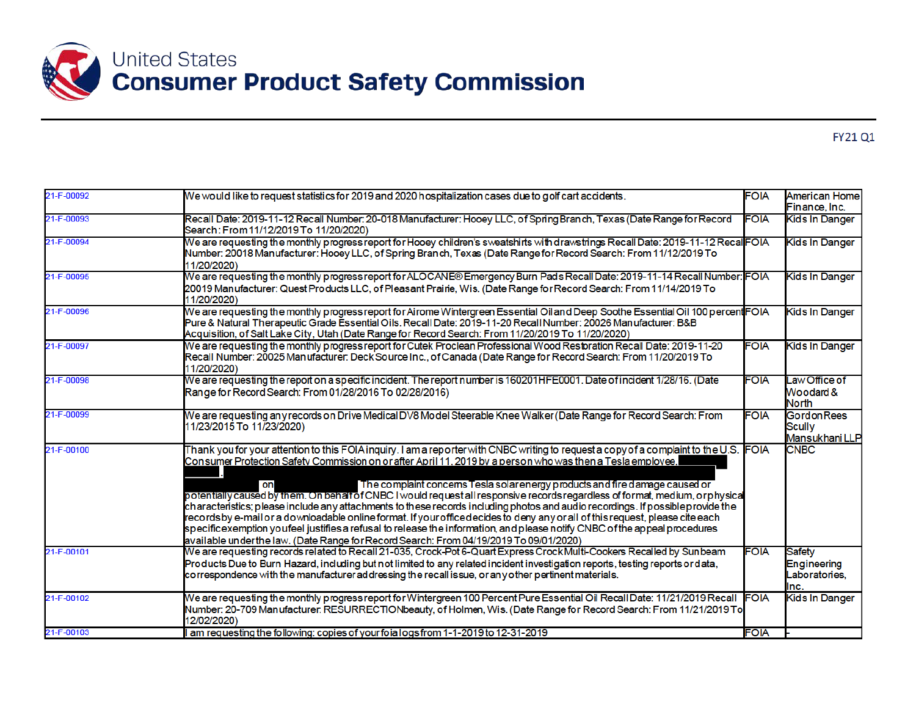

| 21-F-00092 | We would like to request statistics for 2019 and 2020 hospitalization cases due to golf cart accidents.                                                                                                                                                                                                                                                                                                                                                                                                                                                                                                                                                                                                                                                                                                                                                                                                                                                                 | <b>FOIA</b> | <b>American Home</b><br>Finance, Inc.                 |
|------------|-------------------------------------------------------------------------------------------------------------------------------------------------------------------------------------------------------------------------------------------------------------------------------------------------------------------------------------------------------------------------------------------------------------------------------------------------------------------------------------------------------------------------------------------------------------------------------------------------------------------------------------------------------------------------------------------------------------------------------------------------------------------------------------------------------------------------------------------------------------------------------------------------------------------------------------------------------------------------|-------------|-------------------------------------------------------|
| 21-F-00093 | Recall Date: 2019-11-12 Recall Number: 20-018 Manufacturer: Hooey LLC, of Spring Branch, Texas (Date Range for Record<br>Search: From 11/12/2019 To 11/20/2020)                                                                                                                                                                                                                                                                                                                                                                                                                                                                                                                                                                                                                                                                                                                                                                                                         | <b>FOIA</b> | Kids In Danger                                        |
| 21-F-00094 | We are requesting the monthly progress report for Hooey children's sweatshirts with drawstrings Recall Date: 2019-11-12 Recal <b>l</b> FOIA<br>Number: 20018 Manufacturer: Hooey LLC, of Spring Branch, Texas (Date Range for Record Search: From 11/12/2019 To<br>11/20/2020)                                                                                                                                                                                                                                                                                                                                                                                                                                                                                                                                                                                                                                                                                          |             | Kids In Danger                                        |
| 21-F-00095 | We are requesting the monthly progress report for ALOCANE® Emergency Burn Pads Recall Date: 2019-11-14 Recall Number: FOIA<br>20019 Manufacturer: Quest Products LLC, of Pleasant Prairie, Wis. (Date Range for Record Search: From 11/14/2019 To<br>11/20/2020)                                                                                                                                                                                                                                                                                                                                                                                                                                                                                                                                                                                                                                                                                                        |             | Kids In Danger                                        |
| 21-F-00096 | We are requesting the monthly progress report for Airome Wintergreen Essential Oil and Deep Soothe Essential Oil 100 percent FOIA<br>Pure & Natural Therapeutic Grade Essential Oils. Recall Date: 2019-11-20 Recall Number: 20026 Manufacturer: B&B<br>Acquisition, of Salt Lake City, Utah (Date Range for Record Search: From 11/20/2019 To 11/20/2020)                                                                                                                                                                                                                                                                                                                                                                                                                                                                                                                                                                                                              |             | Kids In Danger                                        |
| 21-F-00097 | We are requesting the monthly progress report for Cutek Proclean Professional Wood Restoration Recall Date: 2019-11-20<br>Recall Number: 20025 Manufacturer: Deck Source Inc., of Canada (Date Range for Record Search: From 11/20/2019 To<br>11/20/2020)                                                                                                                                                                                                                                                                                                                                                                                                                                                                                                                                                                                                                                                                                                               | <b>FOIA</b> | Kids In Danger                                        |
| 21-F-00098 | We are requesting the report on a specific incident. The report number is 160201HFE0001. Date of incident 1/28/16. (Date<br>Range for Record Search: From 01/28/2016 To 02/28/2016)                                                                                                                                                                                                                                                                                                                                                                                                                                                                                                                                                                                                                                                                                                                                                                                     | <b>FOIA</b> | Law Office of<br>Woodard &<br><b>North</b>            |
| 21-F-00099 | We are requesting any records on Drive Medical DV8 Model Steerable Knee Walker (Date Range for Record Search: From<br>11/23/2015 To 11/23/2020)                                                                                                                                                                                                                                                                                                                                                                                                                                                                                                                                                                                                                                                                                                                                                                                                                         | <b>FOIA</b> | <b>GordonRees</b><br><b>Scully</b><br>Mansukhani LLP  |
| 21-F-00100 | Thank you for your attention to this FOIA inquiry. I am a reporter with CNBC writing to request a copy of a complaint to the U.S. FOIA<br>Consumer Protection Safety Commission on or after April 11, 2019 by a person who was then a Tesla employee.<br>The complaint concems Tesla solar energy products and fire damage caused or<br>on<br>potentially caused by them. On behalf of CNBC I would request all responsive records regardless of format, medium, or physical<br>characteristics; please include any attachments to these records including photos and audio recordings. If possible provide the<br>records by e-mail or a downloadable online format. If your officedecides to deny any or all of this request, please cite each<br>specificexemption youfeel justifies a refusal to release the information, and please notify CNBC of the appeal procedures<br>available under the law. (Date Range for Record Search: From 04/19/2019 To 09/01/2020) |             | <b>CNBC</b>                                           |
| 21-F-00101 | We are requesting records related to Recall 21-035, Crock-Pot 6-Quart Express Crock Multi-Cookers Recalled by Sunbeam<br>Products Due to Burn Hazard, including but not limited to any related incident investigation reports, testing reports ordata,<br>correspondence with the manufacturer addressing the recall issue, or any other pertinent materials.                                                                                                                                                                                                                                                                                                                                                                                                                                                                                                                                                                                                           | <b>FOIA</b> | <b>Safety</b><br>Engineering<br>Laboratories.<br>Inc. |
| 21-F-00102 | We are requesting the monthly progress report for Wintergreen 100 Percent Pure Essential Oil Recall Date: 11/21/2019 Recall FOIA<br>Number: 20-709 Manufacturer: RESURRECTIONbeauty, of Holmen, Wis. (Date Range for Record Search: From 11/21/2019 To<br>12/02/2020)                                                                                                                                                                                                                                                                                                                                                                                                                                                                                                                                                                                                                                                                                                   |             | Kids In Danger                                        |
| 21-F-00103 | am requesting the following: copies of your foia logs from 1-1-2019 to 12-31-2019                                                                                                                                                                                                                                                                                                                                                                                                                                                                                                                                                                                                                                                                                                                                                                                                                                                                                       | <b>FOIA</b> |                                                       |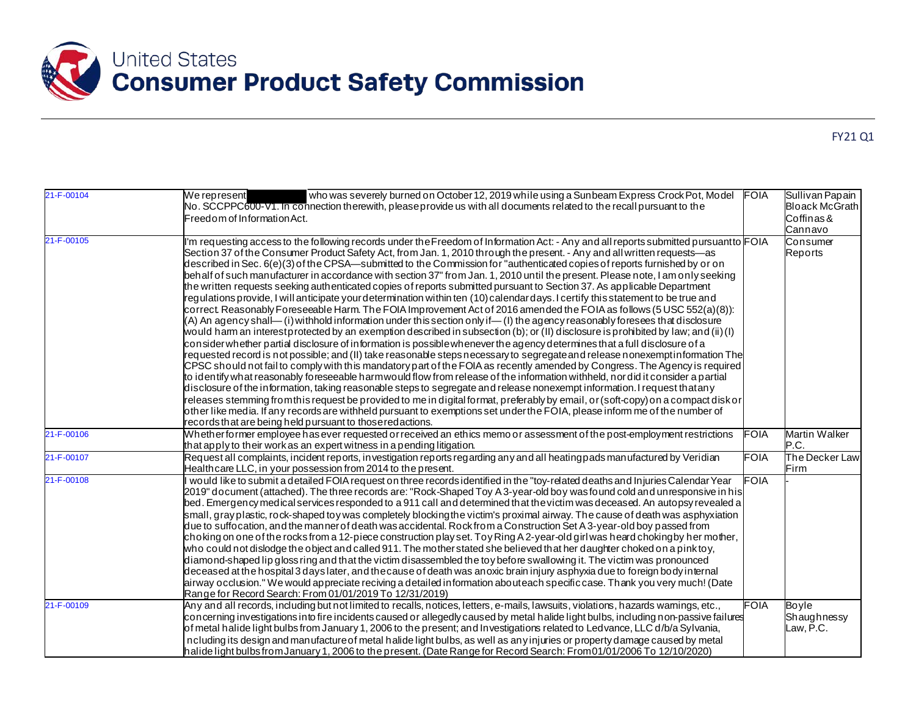

| 21-F-00104 | We represent<br>who was severely burned on October 12, 2019 while using a Sunbeam Express Crock Pot, Model<br>No. SCCPPC600-V1. In connection therewith, pleaseprovide us with all documents related to the recall pursuant to the<br>Freedom of Information Act.                                                                                                                                                                                                                                                                                                                                                                                                                                                                                                                                                                                                                                                                                                                                                                                                                                                                                                                                                                                                                                                                                                                                                                                                                                                                                                                                                                                                                                                                                                                                                                                                                                                                                                                                                                                                                                                                                                                      | <b>FOIA</b> | Sullivan Papain<br><b>Bloack McGrath</b><br>Coffinas&<br>Cannavo |
|------------|----------------------------------------------------------------------------------------------------------------------------------------------------------------------------------------------------------------------------------------------------------------------------------------------------------------------------------------------------------------------------------------------------------------------------------------------------------------------------------------------------------------------------------------------------------------------------------------------------------------------------------------------------------------------------------------------------------------------------------------------------------------------------------------------------------------------------------------------------------------------------------------------------------------------------------------------------------------------------------------------------------------------------------------------------------------------------------------------------------------------------------------------------------------------------------------------------------------------------------------------------------------------------------------------------------------------------------------------------------------------------------------------------------------------------------------------------------------------------------------------------------------------------------------------------------------------------------------------------------------------------------------------------------------------------------------------------------------------------------------------------------------------------------------------------------------------------------------------------------------------------------------------------------------------------------------------------------------------------------------------------------------------------------------------------------------------------------------------------------------------------------------------------------------------------------------|-------------|------------------------------------------------------------------|
| 21-F-00105 | I'm requesting access to the following records under the Freedom of Information Act: - Any and all reports submitted pursuant to FOIA<br>Section 37 of the Consumer Product Safety Act, from Jan. 1, 2010 through the present. - Any and all written requests—as<br>described in Sec. 6(e)(3) of the CPSA—submitted to the Commission for "authenticated copies of reports furnished by or on<br>behalf of such manufacturer in accordance with section 37" from Jan. 1, 2010 until the present. Please note, I am only seeking<br>the written requests seeking authenticated copies of reports submitted pursuant to Section 37. As applicable Department<br>regulations provide, I will anticipate your determination within ten (10) calendar days. I certify this statement to be true and<br>correct. Reasonably Foreseeable Harm. The FOIA Improvement Act of 2016 amended the FOIA as follows (5 USC 552(a)(8)):<br>(A) An agency shall— (i) withhold information under this section only if— (I) the agency reasonably foresees that disclosure<br>would harm an interestprotected by an exemption described in subsection (b); or (II) disclosure is prohibited by law; and (ii) (I)<br>consider whether partial disclosure of information is possible whenever the agency determines that a full disclosure of a<br>requested record is not possible; and (II) take reasonable steps necessary to segregate and release nonexemptinformation The<br>CPSC should not fail to comply with this mandatory part of the FOIA as recently amended by Congress. The Agency is required<br>to identify what reasonably foreseeable harmwould flow from release of the information withheld, nor did it consider a partial<br>disclosure of the information, taking reasonable steps to segregate and release nonexempt information. I request thatany<br>releases stemming fromthis request be provided to me in digital format, preferably by email, or (soft-copy) on a compact disk or<br>other like media. If any records are withheld pursuant to exemptions set under the FOIA, please inform me of the number of<br>records that are being held pursuant to those redactions. |             | Consumer<br>Reports                                              |
| 21-F-00106 | Whetherformer employee has ever requested orreceived an ethics memo or assessment of the post-employment restrictions<br>that apply to their work as an expert witness in a pending litigation.                                                                                                                                                                                                                                                                                                                                                                                                                                                                                                                                                                                                                                                                                                                                                                                                                                                                                                                                                                                                                                                                                                                                                                                                                                                                                                                                                                                                                                                                                                                                                                                                                                                                                                                                                                                                                                                                                                                                                                                        | <b>FOIA</b> | Martin Walker<br>P.C.                                            |
| 21-F-00107 | Request all complaints, incident reports, investigation reports regarding any and all heating pads manufactured by Veridian<br>Healthcare LLC, in your possession from 2014 to the present.                                                                                                                                                                                                                                                                                                                                                                                                                                                                                                                                                                                                                                                                                                                                                                                                                                                                                                                                                                                                                                                                                                                                                                                                                                                                                                                                                                                                                                                                                                                                                                                                                                                                                                                                                                                                                                                                                                                                                                                            | <b>FOIA</b> | The Decker Law<br>Firm                                           |
| 21-F-00108 | would like to submit a detailed FOIA request on three records identified in the "toy-related deaths and Injuries Calendar Year<br>2019" document (attached). The three records are: "Rock-Shaped Toy A 3-year-old boy was found cold and unresponsive in his<br>bed. Emergency medical services responded to a 911 call and determined that the victim was deceased. An autopsy revealed a<br>small, gray plastic, rock-shaped toy was completely blockingthe victim's proximal airway. The cause of death was asphyxiation<br>due to suffocation, and the manner of death was accidental. Rock from a Construction Set A 3-year-old boy passed from<br>choking on one of the rocks from a 12-piece construction play set. Toy Ring A 2-year-old girl was heard chokingby her mother,<br>who could not dislodge the object and called 911. The mother stated she believed that her daughter choked on a pink toy,<br>diamond-shaped lip gloss ring and that the victim disassembled the toy before swallowing it. The victim was pronounced<br>deceased at the hospital 3 days later, and the cause of death was anoxic brain injury asphyxia due to foreign body internal<br>airway occlusion." We would appreciate reciving a detailed information abouteach specificcase. Thank you very much! (Date<br>Range for Record Search: From 01/01/2019 To 12/31/2019)                                                                                                                                                                                                                                                                                                                                                                                                                                                                                                                                                                                                                                                                                                                                                                                                                     | <b>FOIA</b> |                                                                  |
| 21-F-00109 | Any and all records, including but not limited to recalls, notices, letters, e-mails, lawsuits, violations, hazards wamings, etc.,<br>concerning investigations into fire incidents caused or allegedly caused by metal halide light bulbs, including non-passive failures<br>of metal halide light bulbs from January 1, 2006 to the present; and Investigations related to Ledvance, LLC d/b/a Sylvania,<br>ncluding its design and manufacture of metal halide light bulbs, as well as any injuries or property damage caused by metal<br>halide light bulbs from January 1, 2006 to the present. (Date Range for Record Search: From 01/01/2006 To 12/10/2020)                                                                                                                                                                                                                                                                                                                                                                                                                                                                                                                                                                                                                                                                                                                                                                                                                                                                                                                                                                                                                                                                                                                                                                                                                                                                                                                                                                                                                                                                                                                     | <b>FOIA</b> | Boyle<br>Shaughnessy<br>Law, P.C.                                |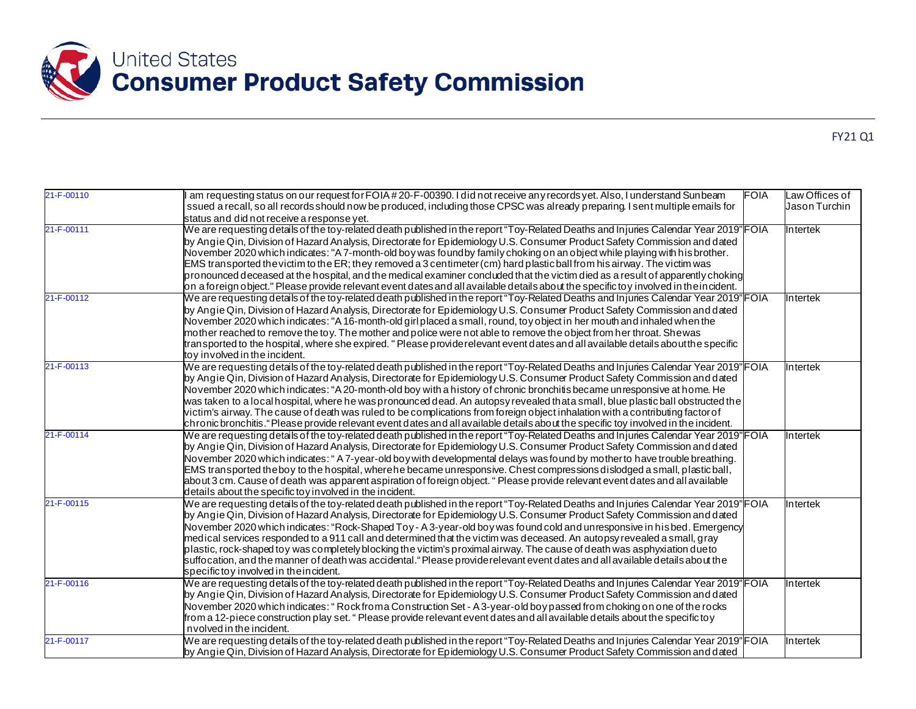

| 21-F-00110 | am requesting status on our request for FOIA #20-F-00390. I did not receive any records yet. Also, I understand Sunbeam<br><b>FOIA</b> | Law Offices of |
|------------|----------------------------------------------------------------------------------------------------------------------------------------|----------------|
|            | ssued a recall, so all records should now be produced, including those CPSC was already preparing. I sent multiple emails for          | Jason Turchin  |
|            | status and did not receive a response yet.                                                                                             |                |
| 21-F-00111 | We are requesting details of the toy-related death published in the report "Toy-Related Deaths and Injuries Calendar Year 2019" FOIA   | Intertek       |
|            | by Angie Qin, Division of Hazard Analysis, Directorate for Epidemiology U.S. Consumer Product Safety Commission and dated              |                |
|            | November 2020 which indicates: "A 7-month-old boy was foundby family choking on an object while playing with his brother.              |                |
|            | EMS transported the victim to the ER; they removed a 3 centimeter (cm) hard plastic ball from his airway. The victim was               |                |
|            | pronounced deceased at the hospital, and the medical examiner concluded that the victim died as a result of apparently choking         |                |
|            | on a foreign object." Please provide relevant event dates and all available details about the specific toy involved in the incident.   |                |
| 21-F-00112 | We are requesting details of the toy-related death published in the report "Toy-Related Deaths and Injuries Calendar Year 2019"FOIA    | Intertek       |
|            | by Angie Qin, Division of Hazard Analysis, Directorate for Epidemiology U.S. Consumer Product Safety Commission and dated              |                |
|            | November 2020 which indicates: "A 16-month-old girl placed a small, round, toy object in her mouth and inhaled when the                |                |
|            | mother reached to remove the toy. The mother and police were not able to remove the object from her throat. Shewas                     |                |
|            | transported to the hospital, where she expired. " Please providerelevant event dates and all available details aboutthe specific       |                |
|            | toy involved in the incident.                                                                                                          |                |
| 21-F-00113 | We are requesting details of the toy-related death published in the report "Toy-Related Deaths and Injuries Calendar Year 2019"FOIA    | Intertek       |
|            | by Angie Qin, Division of Hazard Analysis, Directorate for Epidemiology U.S. Consumer Product Safety Commission and dated              |                |
|            | November 2020 which indicates: "A 20-month-old boy with a history of chronic bronchitis became unresponsive at home. He                |                |
|            | was taken to a local hospital, where he was pronounced dead. An autopsy revealed thata small, blue plastic ball obstructed the         |                |
|            | victim's airway. The cause of death was ruled to be complications from foreign object inhalation with a contributing factor of         |                |
|            | chronic bronchitis." Please provide relevant event dates and all available details about the specific toy involved in the incident.    |                |
| 21-F-00114 | We are requesting details of the toy-related death published in the report "Toy-Related Deaths and Injuries Calendar Year 2019" FOIA   | Intertek       |
|            | by Angie Qin, Division of Hazard Analysis, Directorate for Epidemiology U.S. Consumer Product Safety Commission and dated              |                |
|            | November 2020 which indicates: "A 7-year-old boy with developmental delays was found by mother to have trouble breathing.              |                |
|            | EMS transported the boy to the hospital, where he became unresponsive. Chest compressions dislodged a small, plastic ball,             |                |
|            | about 3 cm. Cause of death was apparent aspiration of foreign object. " Please provide relevant event dates and all available          |                |
|            | details about the specific to y involved in the incident.                                                                              |                |
| 21-F-00115 | We are requesting details of the toy-related death published in the report "Toy-Related Deaths and Injuries Calendar Year 2019" FOIA   | Intertek       |
|            | by Angie Qin, Division of Hazard Analysis, Directorate for Epidemiology U.S. Consumer Product Safety Commission and dated              |                |
|            | November 2020 which indicates: "Rock-Shaped Toy - A 3-year-old boy was found cold and unresponsive in his bed. Emergency               |                |
|            | medical services responded to a 911 call and determined that the victim was deceased. An autopsy revealed a small, gray                |                |
|            | plastic, rock-shaped toy was completely blocking the victim's proximal airway. The cause of death was asphyxiation dueto               |                |
|            | suffocation, and the manner of death was accidental." Please provide relevant event dates and all available details about the          |                |
|            | specific toy involved in the incident.                                                                                                 |                |
| 21-F-00116 | We are requesting details of the toy-related death published in the report "Toy-Related Deaths and Injuries Calendar Year 2019" FOIA   | Intertek       |
|            | by Angie Qin, Division of Hazard Analysis, Directorate for Epidemiology U.S. Consumer Product Safety Commission and dated              |                |
|            | November 2020 which indicates: "Rock froma Construction Set - A 3-year-old boy passed from choking on one of the rocks                 |                |
|            | from a 12-piece construction play set. " Please provide relevant event dates and all available details about the specific toy          |                |
|            | n volved in the incident.                                                                                                              |                |
| 21-F-00117 | We are requesting details of the toy-related death published in the report "Toy-Related Deaths and Injuries Calendar Year 2019" FOIA   | Intertek       |
|            | by Angie Qin, Division of Hazard Analysis, Directorate for Epidemiology U.S. Consumer Product Safety Commission and dated              |                |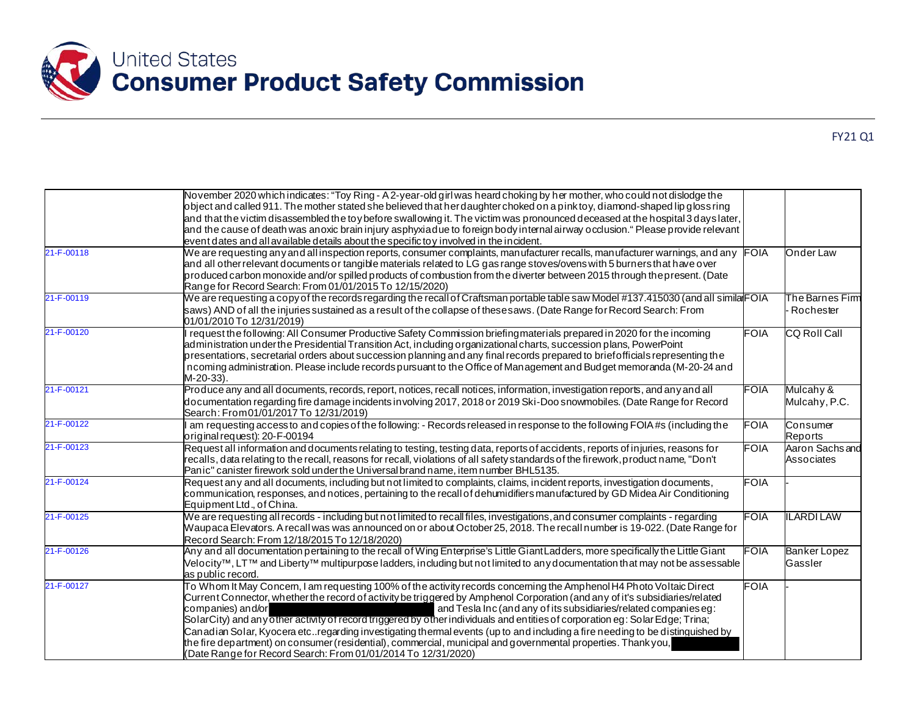

|            | November 2020 which indicates: "Toy Ring - A 2-year-old girl was heard choking by her mother, who could not dislodge the<br>object and called 911. The mother stated she believed that her daughter choked on a pink toy, diamond-shaped lip gloss ring<br>and that the victim disassembled the toy before swallowing it. The victim was pronounced deceased at the hospital 3 days later,<br>and the cause of death was anoxic brain injury asphyxiadue to foreign body internal airway occlusion." Please provide relevant<br>event dates and all available details about the specific toy involved in the incident.                                                                                                                                                                         |             |                                |
|------------|------------------------------------------------------------------------------------------------------------------------------------------------------------------------------------------------------------------------------------------------------------------------------------------------------------------------------------------------------------------------------------------------------------------------------------------------------------------------------------------------------------------------------------------------------------------------------------------------------------------------------------------------------------------------------------------------------------------------------------------------------------------------------------------------|-------------|--------------------------------|
| 21-F-00118 | We are requesting any and all inspection reports, consumer complaints, manufacturer recalls, manufacturer warnings, and any $ FO A $<br>and all other relevant documents or tangible materials related to LG gas range stoves/ovens with 5 burners that have over<br>produced carbon monoxide and/or spilled products of combustion from the diverter between 2015 through the present. (Date<br>Range for Record Search: From 01/01/2015 To 12/15/2020)                                                                                                                                                                                                                                                                                                                                       |             | Onder Law                      |
| 21-F-00119 | We are requesting a copy of the records regarding the recall of Craftsman portable table saw Model #137.415030 (and all simila FOIA<br>saws) AND of all the injuries sustained as a result of the collapse of thesesaws. (Date Range for Record Search: From<br>01/01/2010 To 12/31/2019)                                                                                                                                                                                                                                                                                                                                                                                                                                                                                                      |             | The Barnes Firm<br>Rochester   |
| 21-F-00120 | request the following: All Consumer Productive Safety Commission briefing materials prepared in 2020 for the incoming<br>administration under the Presidential Transition Act, including organizational charts, succession plans, PowerPoint<br>presentations, secretarial orders about succession planning and any final records prepared to briefofficials representing the<br>n coming administration. Please include records pursuant to the Office of Management and Budget memoranda (M-20-24 and<br>M-20-33).                                                                                                                                                                                                                                                                           | <b>FOIA</b> | <b>CQ Roll Call</b>            |
| 21-F-00121 | Produce any and all documents, records, report, notices, recall notices, information, investigation reports, and any and all<br>documentation regarding fire damage incidents involving 2017, 2018 or 2019 Ski-Doo snowmobiles. (Date Range for Record<br>Search: From 01/01/2017 To 12/31/2019)                                                                                                                                                                                                                                                                                                                                                                                                                                                                                               | FOIA        | Mulcahy &<br>Mulcahy, P.C.     |
| 21-F-00122 | am requesting access to and copies of the following: - Records released in response to the following FOIA#s (including the<br>original request): 20-F-00194                                                                                                                                                                                                                                                                                                                                                                                                                                                                                                                                                                                                                                    | <b>FOIA</b> | Consumer<br>Reports            |
| 21-F-00123 | Request all information and documents relating to testing, testing data, reports of accidents, reports of injuries, reasons for<br>recalls, data relating to the recall, reasons for recall, violations of all safety standards of the firework, product name, "Don't<br>Panic" canister firework sold under the Universal brand name, item number BHL5135.                                                                                                                                                                                                                                                                                                                                                                                                                                    | <b>FOIA</b> | Aaron Sachs and<br>Associates  |
| 21-F-00124 | Request any and all documents, including but not limited to complaints, claims, incident reports, investigation documents,<br>communication, responses, and notices, pertaining to the recall of dehumidifiers manufactured by GD Midea Air Conditioning<br>Equipment Ltd., of China.                                                                                                                                                                                                                                                                                                                                                                                                                                                                                                          | <b>FOIA</b> |                                |
| 21-F-00125 | We are requesting all records - including but not limited to recall files, investigations, and consumer complaints - regarding<br>Waupaca Elevators. A recall was was announced on or about October 25, 2018. The recall number is 19-022. (Date Range for<br>Record Search: From 12/18/2015 To 12/18/2020)                                                                                                                                                                                                                                                                                                                                                                                                                                                                                    | <b>FOIA</b> | <b>ILARDI LAW</b>              |
| 21-F-00126 | Any and all documentation pertaining to the recall of Wing Enterprise's Little Giant Ladders, more specifically the Little Giant<br>Velocity™, LT™ and Liberty™ multipurpœe ladders, including but not limited to any documentation that may not be assessable<br>as public record.                                                                                                                                                                                                                                                                                                                                                                                                                                                                                                            | <b>FOIA</b> | <b>Banker Lopez</b><br>Gassler |
| 21-F-00127 | To Whom It May Concem, I am requesting 100% of the activity records conceming the Amphenol H4 Photo Voltaic Direct<br>Current Connector, whether the record of activity be triggered by Amphenol Corporation (and any of it's subsidiaries/related<br>companies) and/or<br>and Tesla Inc (and any of its subsidiaries/related companies eg:<br>SolarCity) and any other activity of record triggered by other individuals and entities of corporation eg: Solar Edge; Trina;<br>Canadian Solar, Kyocera etcregarding investigating thermal events (up to and including a fire needing to be distinguished by<br>the fire department) on consumer (residential), commercial, municipal and governmental properties. Thank you,<br>(Date Range for Record Search: From 01/01/2014 To 12/31/2020) | <b>FOIA</b> |                                |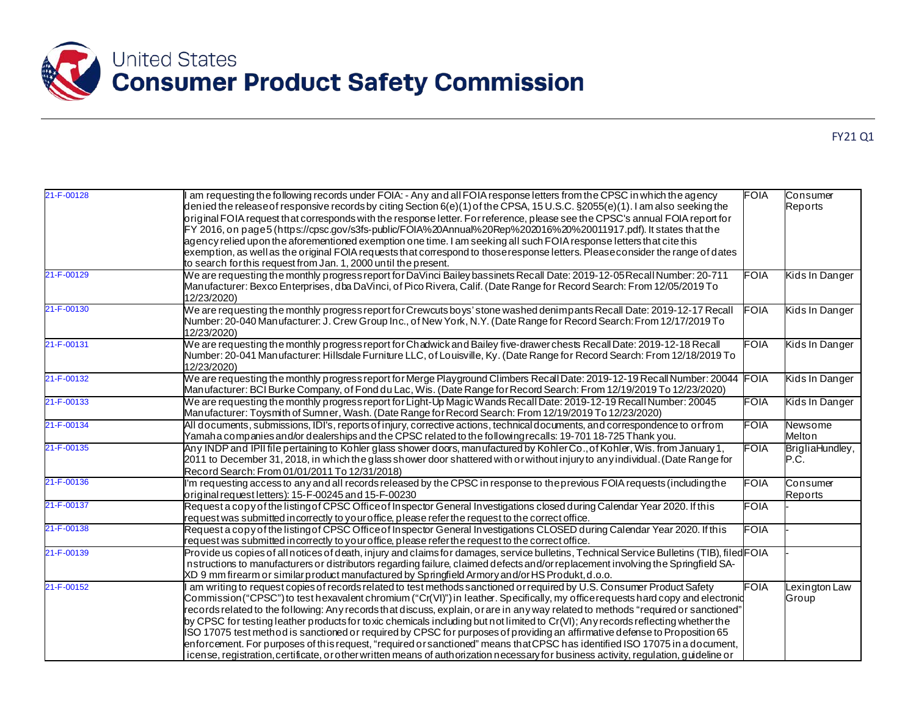

| 21-F-00128 | am requesting the following records under FOIA: - Any and all FOIA response letters from the CPSC in which the agency<br>denied the release of responsive records by citing Section 6(e)(1) of the CPSA, 15 U.S.C. §2055(e)(1). I am also seeking the<br>original FOIA request that corresponds with the response letter. For reference, please see the CPSC's annual FOIA report for<br>FY 2016, on page5 (https://cpsc.gov/s3fs-public/FOIA%20Annual%20Rep%202016%20%20011917.pdf). It states that the<br>agency relied upon the aforementioned exemption one time. I am seeking all such FOIA response letters that cite this<br>exemption, as well as the original FOIA requests that correspond to those response letters. Please consider the range of dates<br>to search for this request from Jan. 1, 2000 until the present.                                                                                                     | <b>FOIA</b> | Consumer<br>Reports     |
|------------|-------------------------------------------------------------------------------------------------------------------------------------------------------------------------------------------------------------------------------------------------------------------------------------------------------------------------------------------------------------------------------------------------------------------------------------------------------------------------------------------------------------------------------------------------------------------------------------------------------------------------------------------------------------------------------------------------------------------------------------------------------------------------------------------------------------------------------------------------------------------------------------------------------------------------------------------|-------------|-------------------------|
| 21-F-00129 | We are requesting the monthly progress report for DaVinci Bailey bassinets Recall Date: 2019-12-05 Recall Number: 20-711<br>Manufacturer: Bexco Enterprises, dba DaVinci, of Pico Rivera, Calif. (Date Range for Record Search: From 12/05/2019 To<br>12/23/2020)                                                                                                                                                                                                                                                                                                                                                                                                                                                                                                                                                                                                                                                                         | <b>FOIA</b> | Kids In Danger          |
| 21-F-00130 | We are requesting the monthly progress report for Crewcuts boys' stone washed denimpants Recall Date: 2019-12-17 Recall<br>Number: 20-040 Manufacturer: J. Crew Group Inc., of New York, N.Y. (Date Range for Record Search: From 12/17/2019 To<br>12/23/2020)                                                                                                                                                                                                                                                                                                                                                                                                                                                                                                                                                                                                                                                                            | <b>FOIA</b> | Kids In Danger          |
| 21-F-00131 | We are requesting the monthly progress report for Chadwick and Bailey five-drawer chests Recall Date: 2019-12-18 Recall<br>Number: 20-041 Manufacturer: Hillsdale Furniture LLC, of Louisville, Ky. (Date Range for Record Search: From 12/18/2019 To<br>12/23/2020)                                                                                                                                                                                                                                                                                                                                                                                                                                                                                                                                                                                                                                                                      | <b>FOIA</b> | Kids In Danger          |
| 21-F-00132 | We are requesting the monthly progress report for Merge Playground Climbers Recall Date: 2019-12-19 Recall Number: 20044 FOIA<br>Manufacturer: BCI Burke Company, of Fond du Lac, Wis. (Date Range for Record Search: From 12/19/2019 To 12/23/2020)                                                                                                                                                                                                                                                                                                                                                                                                                                                                                                                                                                                                                                                                                      |             | Kids In Danger          |
| 21-F-00133 | We are requesting the monthly progress report for Light-Up Magic Wands Recall Date: 2019-12-19 Recall Number: 20045<br>Manufacturer: Toysmith of Sumner, Wash. (Date Range for Record Search: From 12/19/2019 To 12/23/2020)                                                                                                                                                                                                                                                                                                                                                                                                                                                                                                                                                                                                                                                                                                              | FOIA        | Kids In Danger          |
| 21-F-00134 | All documents, submissions, IDI's, reports of injury, corrective actions, technical documents, and correspondence to or from<br>Yamaha companies and/or dealerships and the CPSC related to the following recalls: 19-701 18-725 Thank you.                                                                                                                                                                                                                                                                                                                                                                                                                                                                                                                                                                                                                                                                                               | FOIA        | Newsome<br>Melton       |
| 21-F-00135 | Any INDP and IPII file pertaining to Kohler glass shower doors, manufactured by Kohler Co., of Kohler, Wis. from January 1,<br>2011 to December 31, 2018, in which the glass shower door shattered with or without injury to any individual. (Date Range for<br>Record Search: From 01/01/2011 To 12/31/2018)                                                                                                                                                                                                                                                                                                                                                                                                                                                                                                                                                                                                                             | FOIA        | BrigliaHundley,<br>P.C. |
| 21-F-00136 | I'm requesting access to any and all records released by the CPSC in response to the previous FOIA requests (including the<br>original request letters): 15-F-00245 and 15-F-00230                                                                                                                                                                                                                                                                                                                                                                                                                                                                                                                                                                                                                                                                                                                                                        | <b>FOIA</b> | Consumer<br>Reports     |
| 21-F-00137 | Request a copy of the listing of CPSC Office of Inspector General Investigations closed during Calendar Year 2020. If this<br>request was submitted in correctly to your office, please refer the request to the correct office.                                                                                                                                                                                                                                                                                                                                                                                                                                                                                                                                                                                                                                                                                                          | <b>FOIA</b> |                         |
| 21-F-00138 | Request a copy of the listing of CPSC Office of Inspector General Investigations CLOSED during Calendar Year 2020. If this<br>request was submitted in correctly to your office, please refer the request to the correct office.                                                                                                                                                                                                                                                                                                                                                                                                                                                                                                                                                                                                                                                                                                          | <b>FOIA</b> |                         |
| 21-F-00139 | Provide us copies of all notices of death, injury and claims for damages, service bulletins, Technical Service Bulletins (TIB), filed FOIA<br>nstructions to manufacturers or distributors regarding failure, claimed defects and/or replacement involving the Springfield SA-<br>XD 9 mm firearm or similar product manufactured by Springfield Armory and/or HS Produkt, d.o.o.                                                                                                                                                                                                                                                                                                                                                                                                                                                                                                                                                         |             |                         |
| 21-F-00152 | am writing to request copies of records related to test methods sanctioned or required by U.S. Consumer Product Safety<br>Commission ("CPSC") to test hexavalent chromium ("Cr(VI)") in leather. Specifically, my office requests hard copy and electronid<br>records related to the following: Any records that discuss, explain, or are in any way related to methods "required or sanctioned"<br>by CPSC for testing leather products for toxic chemicals including but not limited to Cr(VI); Any records reflecting whether the<br>ISO 17075 test method is sanctioned or required by CPSC for purposes of providing an affirmative defense to Proposition 65<br>enforcement. For purposes of this request, "required or sanctioned" means that CPSC has identified ISO 17075 in a document,<br>icense, registration, certificate, or other written means of authorization necessary for business activity, regulation, guideline or | <b>FOIA</b> | Lexington Law<br>Group  |